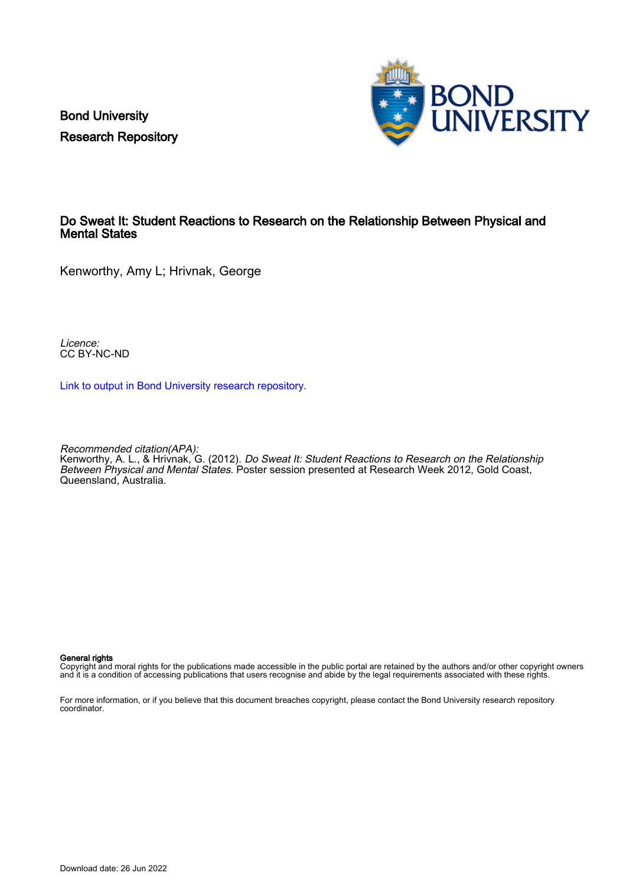Bond University Research Repository



#### Do Sweat It: Student Reactions to Research on the Relationship Between Physical and Mental States

Kenworthy, Amy L; Hrivnak, George

Licence: CC BY-NC-ND

[Link to output in Bond University research repository.](https://research.bond.edu.au/en/publications/589211cd-18d2-4057-be7e-6ec6115f3b26)

Recommended citation(APA): Kenworthy, A. L., & Hrivnak, G. (2012). Do Sweat It: Student Reactions to Research on the Relationship Between Physical and Mental States. Poster session presented at Research Week 2012, Gold Coast, Queensland, Australia.

#### General rights

Copyright and moral rights for the publications made accessible in the public portal are retained by the authors and/or other copyright owners and it is a condition of accessing publications that users recognise and abide by the legal requirements associated with these rights.

For more information, or if you believe that this document breaches copyright, please contact the Bond University research repository coordinator.